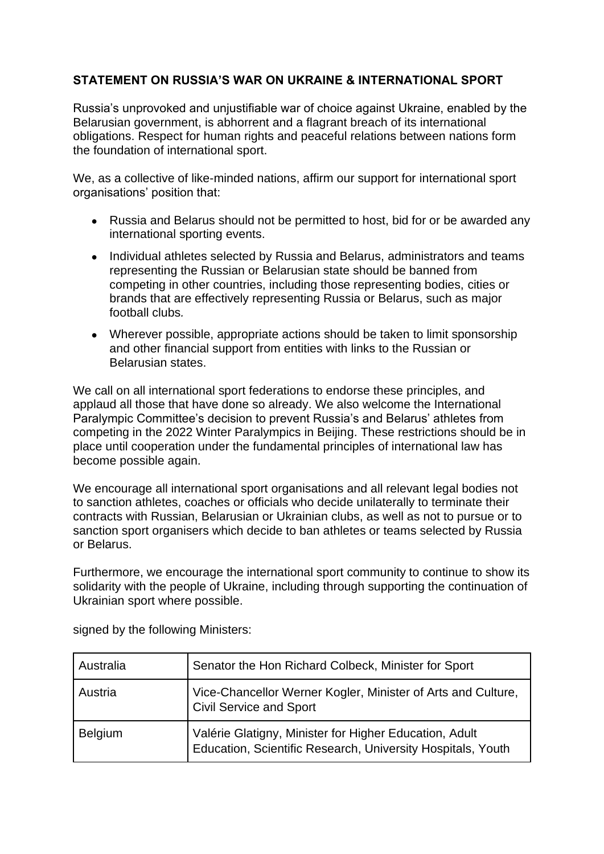## **STATEMENT ON RUSSIA'S WAR ON UKRAINE & INTERNATIONAL SPORT**

Russia's unprovoked and unjustifiable war of choice against Ukraine, enabled by the Belarusian government, is abhorrent and a flagrant breach of its international obligations. Respect for human rights and peaceful relations between nations form the foundation of international sport.

We, as a collective of like-minded nations, affirm our support for international sport organisations' position that:

- Russia and Belarus should not be permitted to host, bid for or be awarded any international sporting events.
- Individual athletes selected by Russia and Belarus, administrators and teams representing the Russian or Belarusian state should be banned from competing in other countries, including those representing bodies, cities or brands that are effectively representing Russia or Belarus, such as major football clubs*.*
- Wherever possible, appropriate actions should be taken to limit sponsorship and other financial support from entities with links to the Russian or Belarusian states.

We call on all international sport federations to endorse these principles, and applaud all those that have done so already. We also welcome the International Paralympic Committee's decision to prevent Russia's and Belarus' athletes from competing in the 2022 Winter Paralympics in Beijing. These restrictions should be in place until cooperation under the fundamental principles of international law has become possible again.

We encourage all international sport organisations and all relevant legal bodies not to sanction athletes, coaches or officials who decide unilaterally to terminate their contracts with Russian, Belarusian or Ukrainian clubs, as well as not to pursue or to sanction sport organisers which decide to ban athletes or teams selected by Russia or Belarus.

Furthermore, we encourage the international sport community to continue to show its solidarity with the people of Ukraine, including through supporting the continuation of Ukrainian sport where possible.

| Australia      | Senator the Hon Richard Colbeck, Minister for Sport                                                                   |
|----------------|-----------------------------------------------------------------------------------------------------------------------|
| Austria        | Vice-Chancellor Werner Kogler, Minister of Arts and Culture,<br>Civil Service and Sport                               |
| <b>Belgium</b> | Valérie Glatigny, Minister for Higher Education, Adult<br>Education, Scientific Research, University Hospitals, Youth |

signed by the following Ministers: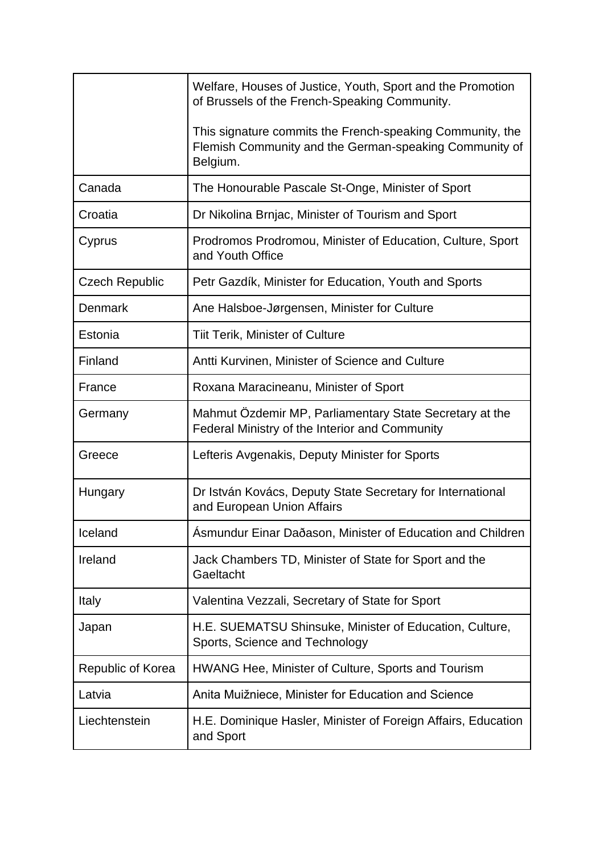|                       | Welfare, Houses of Justice, Youth, Sport and the Promotion<br>of Brussels of the French-Speaking Community.                     |
|-----------------------|---------------------------------------------------------------------------------------------------------------------------------|
|                       | This signature commits the French-speaking Community, the<br>Flemish Community and the German-speaking Community of<br>Belgium. |
| Canada                | The Honourable Pascale St-Onge, Minister of Sport                                                                               |
| Croatia               | Dr Nikolina Brnjac, Minister of Tourism and Sport                                                                               |
| Cyprus                | Prodromos Prodromou, Minister of Education, Culture, Sport<br>and Youth Office                                                  |
| <b>Czech Republic</b> | Petr Gazdík, Minister for Education, Youth and Sports                                                                           |
| <b>Denmark</b>        | Ane Halsboe-Jørgensen, Minister for Culture                                                                                     |
| Estonia               | <b>Tiit Terik, Minister of Culture</b>                                                                                          |
| Finland               | Antti Kurvinen, Minister of Science and Culture                                                                                 |
| France                | Roxana Maracineanu, Minister of Sport                                                                                           |
| Germany               | Mahmut Özdemir MP, Parliamentary State Secretary at the<br>Federal Ministry of the Interior and Community                       |
| Greece                | Lefteris Avgenakis, Deputy Minister for Sports                                                                                  |
| Hungary               | Dr István Kovács, Deputy State Secretary for International<br>and European Union Affairs                                        |
| Iceland               | $\epsilon$<br>Asmundur Einar Daðason, Minister of Education and Children                                                        |
| Ireland               | Jack Chambers TD, Minister of State for Sport and the<br>Gaeltacht                                                              |
| Italy                 | Valentina Vezzali, Secretary of State for Sport                                                                                 |
| Japan                 | H.E. SUEMATSU Shinsuke, Minister of Education, Culture,<br>Sports, Science and Technology                                       |
| Republic of Korea     | HWANG Hee, Minister of Culture, Sports and Tourism                                                                              |
| Latvia                | Anita Muižniece, Minister for Education and Science                                                                             |
| Liechtenstein         | H.E. Dominique Hasler, Minister of Foreign Affairs, Education<br>and Sport                                                      |